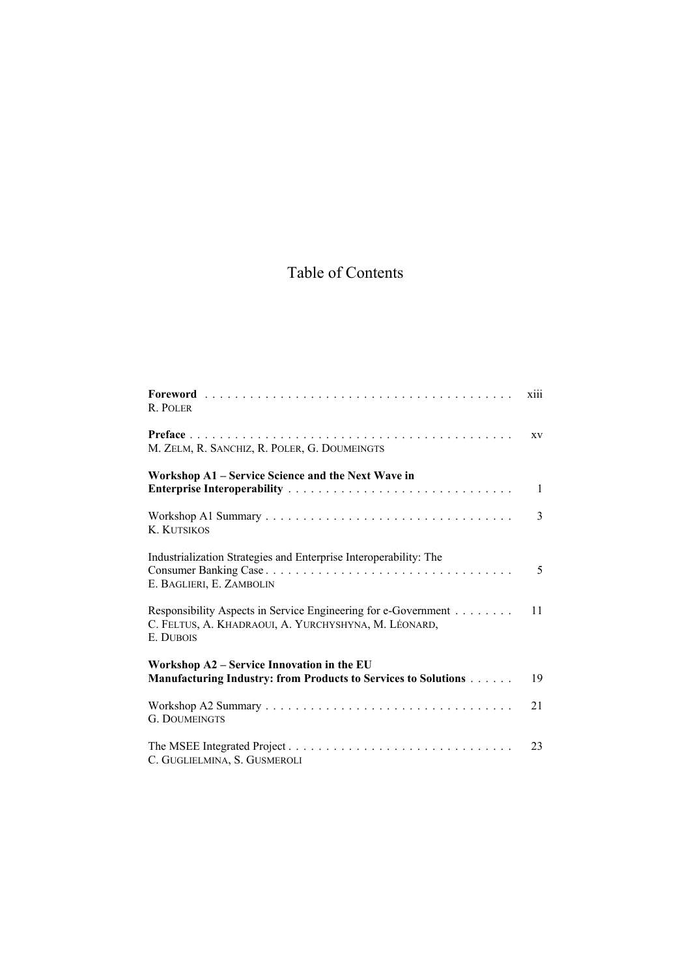## Table of Contents

| R. POLER                                                                                                                            | xiii         |
|-------------------------------------------------------------------------------------------------------------------------------------|--------------|
| M. ZELM, R. SANCHIZ, R. POLER, G. DOUMEINGTS                                                                                        | XV           |
| Workshop A1 – Service Science and the Next Wave in<br>Enterprise Interoperability                                                   | $\mathbf{1}$ |
| <b>K. KUTSIKOS</b>                                                                                                                  | 3            |
| Industrialization Strategies and Enterprise Interoperability: The<br>E. BAGLIERI, E. ZAMBOLIN                                       | 5            |
| Responsibility Aspects in Service Engineering for e-Government<br>C. FELTUS, A. KHADRAOUI, A. YURCHYSHYNA, M. LÉONARD,<br>E. DUBOIS | 11           |
| Workshop A2 – Service Innovation in the EU                                                                                          |              |
| Manufacturing Industry: from Products to Services to Solutions                                                                      | 19           |
| <b>G. DOUMEINGTS</b>                                                                                                                | 21           |
| C. GUGLIELMINA, S. GUSMEROLI                                                                                                        | 23           |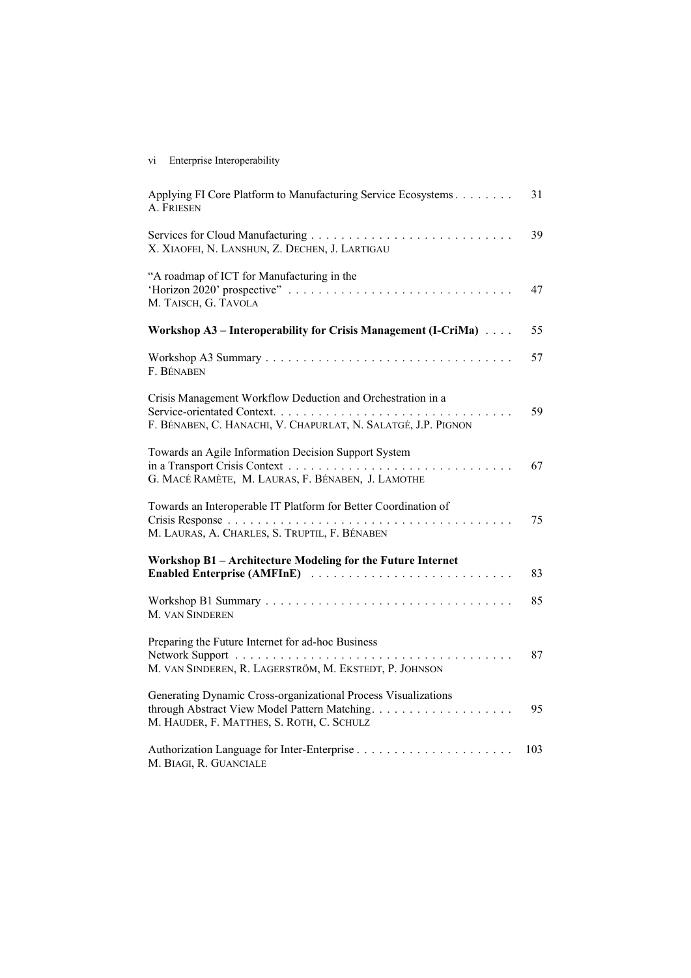## vi Enterprise Interoperability

| Applying FI Core Platform to Manufacturing Service Ecosystems<br>A. FRIESEN                                                  | 31  |
|------------------------------------------------------------------------------------------------------------------------------|-----|
| X. XIAOFEI, N. LANSHUN, Z. DECHEN, J. LARTIGAU                                                                               | 39  |
| "A roadmap of ICT for Manufacturing in the<br>M. TAISCH, G. TAVOLA                                                           | 47  |
| Workshop A3 – Interoperability for Crisis Management (I-CriMa)                                                               | 55  |
| F. BÉNABEN                                                                                                                   | 57  |
| Crisis Management Workflow Deduction and Orchestration in a<br>F. BÉNABEN, C. HANACHI, V. CHAPURLAT, N. SALATGÉ, J.P. PIGNON | 59  |
| Towards an Agile Information Decision Support System<br>G. MACÉ RAMÈTE, M. LAURAS, F. BÉNABEN, J. LAMOTHE                    | 67  |
| Towards an Interoperable IT Platform for Better Coordination of<br>M. LAURAS, A. CHARLES, S. TRUPTIL, F. BÉNABEN             | 75  |
| Workshop B1 - Architecture Modeling for the Future Internet<br>Enabled Enterprise (AMFInE)                                   | 83  |
| M. VAN SINDEREN                                                                                                              | 85  |
| Preparing the Future Internet for ad-hoc Business<br>M. VAN SINDEREN, R. LAGERSTRÖM, M. EKSTEDT, P. JOHNSON                  | 87  |
| Generating Dynamic Cross-organizational Process Visualizations<br>M. HAUDER, F. MATTHES, S. ROTH, C. SCHULZ                  | 95  |
| M. BIAGI, R. GUANCIALE                                                                                                       | 103 |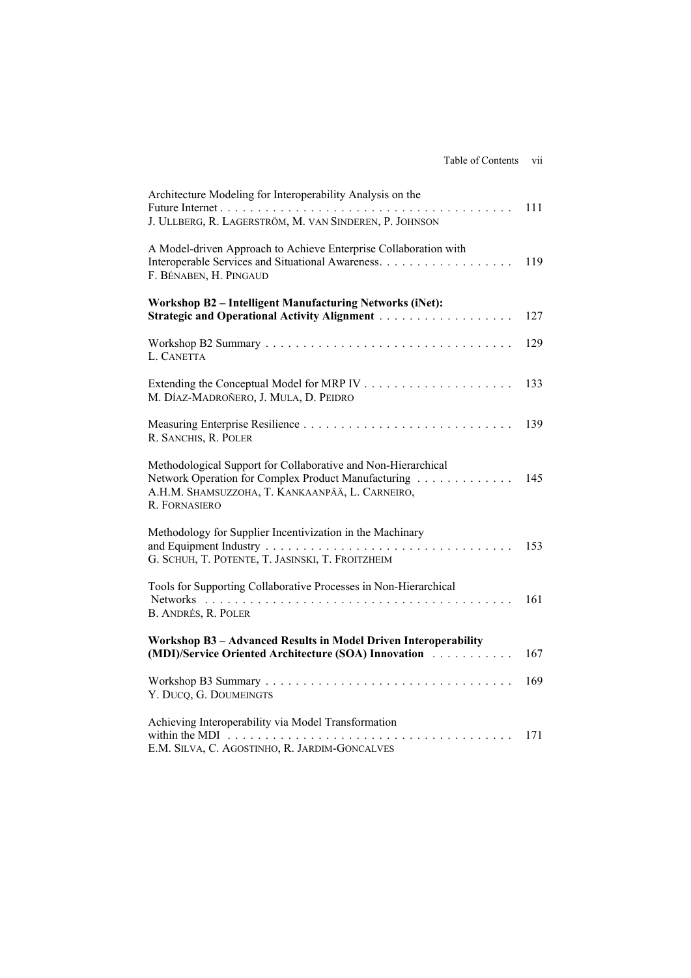| Architecture Modeling for Interoperability Analysis on the<br>J. ULLBERG, R. LAGERSTRÖM, M. VAN SINDEREN, P. JOHNSON                                                                                  | 111 |
|-------------------------------------------------------------------------------------------------------------------------------------------------------------------------------------------------------|-----|
| A Model-driven Approach to Achieve Enterprise Collaboration with<br>Interoperable Services and Situational Awareness.<br>F. BÉNABEN, H. PINGAUD                                                       | 119 |
| Workshop B2 - Intelligent Manufacturing Networks (iNet):                                                                                                                                              | 127 |
| L. CANETTA                                                                                                                                                                                            | 129 |
| M. DÍAZ-MADROÑERO, J. MULA, D. PEIDRO                                                                                                                                                                 | 133 |
| R. SANCHIS, R. POLER                                                                                                                                                                                  | 139 |
| Methodological Support for Collaborative and Non-Hierarchical<br>Network Operation for Complex Product Manufacturing<br>A.H.M. SHAMSUZZOHA, T. KANKAANPÄÄ, L. CARNEIRO,<br>R. FORNASIERO              | 145 |
| Methodology for Supplier Incentivization in the Machinary<br>G. SCHUH, T. POTENTE, T. JASINSKI, T. FROITZHEIM                                                                                         | 153 |
| Tools for Supporting Collaborative Processes in Non-Hierarchical<br>B. ANDRÉS, R. POLER                                                                                                               | 161 |
| Workshop B3 - Advanced Results in Model Driven Interoperability<br>(MDI)/Service Oriented Architecture (SOA) Innovation                                                                               | 167 |
| Y. DUCQ, G. DOUMEINGTS                                                                                                                                                                                | 169 |
| Achieving Interoperability via Model Transformation<br>within the MDI $\ldots \ldots \ldots \ldots \ldots \ldots \ldots \ldots \ldots \ldots \ldots$<br>E.M. SILVA, C. AGOSTINHO, R. JARDIM-GONCALVES | 171 |
|                                                                                                                                                                                                       |     |

Table of Contents vii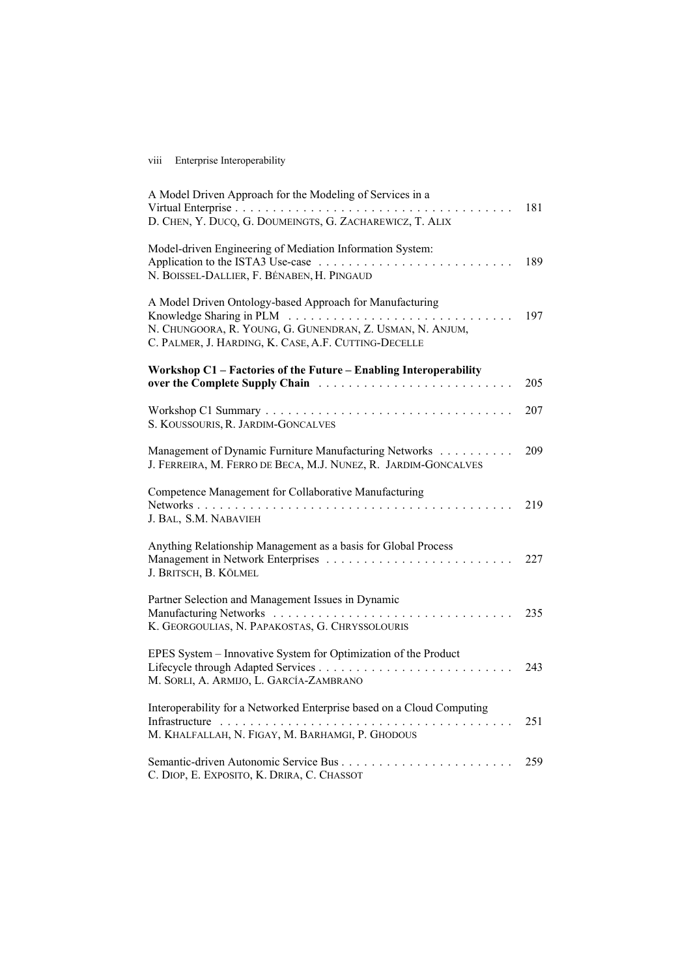## viii Enterprise Interoperability

| A Model Driven Approach for the Modeling of Services in a<br>D. CHEN, Y. DUCQ, G. DOUMEINGTS, G. ZACHAREWICZ, T. ALIX                                                         | 181 |
|-------------------------------------------------------------------------------------------------------------------------------------------------------------------------------|-----|
| Model-driven Engineering of Mediation Information System:<br>Application to the ISTA3 Use-case<br>N. BOISSEL-DALLIER, F. BÉNABEN, H. PINGAUD                                  | 189 |
| A Model Driven Ontology-based Approach for Manufacturing<br>N. CHUNGOORA, R. YOUNG, G. GUNENDRAN, Z. USMAN, N. ANJUM,<br>C. PALMER, J. HARDING, K. CASE, A.F. CUTTING-DECELLE | 197 |
| Workshop C1 - Factories of the Future - Enabling Interoperability                                                                                                             | 205 |
| S. KOUSSOURIS, R. JARDIM-GONCALVES                                                                                                                                            | 207 |
| Management of Dynamic Furniture Manufacturing Networks<br>J. FERREIRA, M. FERRO DE BECA, M.J. NUNEZ, R. JARDIM-GONCALVES                                                      | 209 |
| Competence Management for Collaborative Manufacturing<br>J. BAL, S.M. NABAVIEH                                                                                                | 219 |
| Anything Relationship Management as a basis for Global Process<br>J. BRITSCH, B. KÖLMEL                                                                                       | 227 |
| Partner Selection and Management Issues in Dynamic<br>K. GEORGOULIAS, N. PAPAKOSTAS, G. CHRYSSOLOURIS                                                                         | 235 |
| EPES System - Innovative System for Optimization of the Product<br>M. SORLI, A. ARMIJO, L. GARCÍA-ZAMBRANO                                                                    | 243 |
| Interoperability for a Networked Enterprise based on a Cloud Computing<br>M. KHALFALLAH, N. FIGAY, M. BARHAMGI, P. GHODOUS                                                    | 251 |
| Semantic-driven Autonomic Service Bus<br>a a a a a a<br>C. DIOP, E. EXPOSITO, K. DRIRA, C. CHASSOT                                                                            | 259 |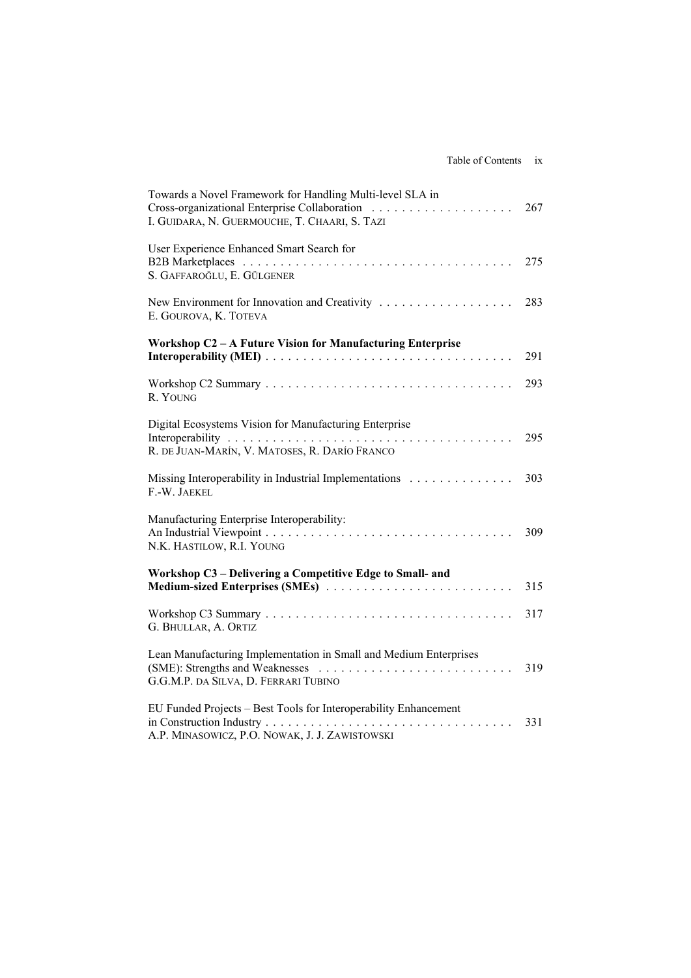|  | Table of Contents | 1Х |
|--|-------------------|----|
|  |                   |    |

| Towards a Novel Framework for Handling Multi-level SLA in<br>I. GUIDARA, N. GUERMOUCHE, T. CHAARI, S. TAZI         | 267 |
|--------------------------------------------------------------------------------------------------------------------|-----|
| User Experience Enhanced Smart Search for<br>S. GAFFAROĞLU, E. GÜLGENER                                            | 275 |
| E. GOUROVA, K. TOTEVA                                                                                              | 283 |
| Workshop C2 - A Future Vision for Manufacturing Enterprise                                                         |     |
|                                                                                                                    | 291 |
| R. YOUNG                                                                                                           | 293 |
| Digital Ecosystems Vision for Manufacturing Enterprise                                                             |     |
| R. DE JUAN-MARÍN, V. MATOSES, R. DARÍO FRANCO                                                                      | 295 |
| Missing Interoperability in Industrial Implementations<br>F.-W. JAEKEL                                             | 303 |
| Manufacturing Enterprise Interoperability:<br>N.K. HASTILOW, R.I. YOUNG                                            | 309 |
| Workshop C3 - Delivering a Competitive Edge to Small- and                                                          |     |
|                                                                                                                    | 315 |
| G. BHULLAR, A. ORTIZ                                                                                               | 317 |
| Lean Manufacturing Implementation in Small and Medium Enterprises<br>G.G.M.P. DA SILVA, D. FERRARI TUBINO          | 319 |
| EU Funded Projects - Best Tools for Interoperability Enhancement<br>A.P. MINASOWICZ, P.O. NOWAK, J. J. ZAWISTOWSKI | 331 |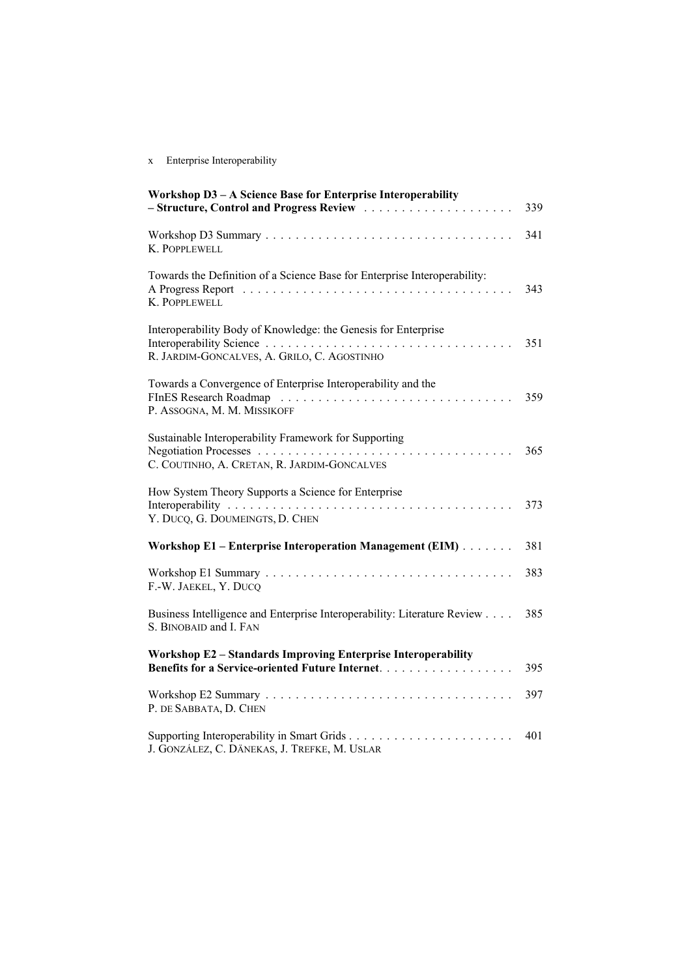## x Enterprise Interoperability

| Workshop D3 - A Science Base for Enterprise Interoperability                                                      | 339 |
|-------------------------------------------------------------------------------------------------------------------|-----|
| K. POPPLEWELL                                                                                                     | 341 |
| Towards the Definition of a Science Base for Enterprise Interoperability:<br>K. POPPLEWELL                        | 343 |
| Interoperability Body of Knowledge: the Genesis for Enterprise<br>R. JARDIM-GONCALVES, A. GRILO, C. AGOSTINHO     | 351 |
| Towards a Convergence of Enterprise Interoperability and the<br>P. ASSOGNA, M. M. MISSIKOFF                       | 359 |
| Sustainable Interoperability Framework for Supporting<br>C. COUTINHO, A. CRETAN, R. JARDIM-GONCALVES              | 365 |
| How System Theory Supports a Science for Enterprise<br>Y. DUCQ, G. DOUMEINGTS, D. CHEN                            | 373 |
| Workshop E1 - Enterprise Interoperation Management (EIM)                                                          | 381 |
| F.-W. JAEKEL, Y. DUCQ                                                                                             | 383 |
| Business Intelligence and Enterprise Interoperability: Literature Review<br>S. BINOBAID and I. FAN                | 385 |
| Workshop E2 - Standards Improving Enterprise Interoperability<br>Benefits for a Service-oriented Future Internet. | 395 |
| P. DE SABBATA, D. CHEN                                                                                            | 397 |
| J. GONZÁLEZ, C. DÄNEKAS, J. TREFKE, M. USLAR                                                                      | 401 |